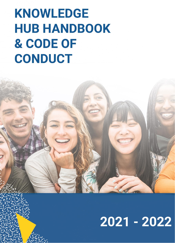# **KNOWLEDGE HUB HANDBOOK** & CODE OF CONDUCT

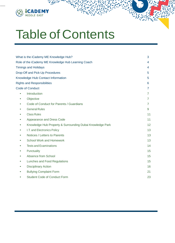

# Table of Contents

| What is the iCademy ME Knowledge Hub?                                  |    |
|------------------------------------------------------------------------|----|
| Role of the iCademy ME Knowledge Hub Learning Coach                    | 4  |
| <b>Timings and Holidays</b>                                            | 4  |
| Drop-Off and Pick-Up Procedures                                        | 5  |
| Knowledge Hub Contact Information                                      | 5  |
| <b>Rights and Responsibilities</b>                                     | 6  |
| <b>Code of Conduct</b>                                                 | 7  |
| Introduction<br>$\bullet$                                              | 7  |
| Objective                                                              | 7  |
| Code of Conduct for Parents / Guardians                                | 7  |
| <b>General Rules</b>                                                   | 9  |
| <b>Class Rules</b>                                                     | 11 |
| Appearance and Dress Code<br>$\bullet$                                 | 11 |
| Knowledge Hub Property & Surrounding Dubai Knowledge Park<br>$\bullet$ | 12 |
| I.T. and Electronics Policy<br>$\bullet$                               | 13 |
| Notices / Letters to Parents                                           | 13 |
| <b>School Work and Homework</b>                                        | 13 |
| <b>Tests and Examinations</b>                                          | 14 |
| Punctuality<br>$\bullet$                                               | 15 |
| Absence from School<br>$\bullet$                                       | 15 |
| <b>Lunches and Food Regulations</b>                                    | 15 |
| <b>Disciplinary Action</b><br>$\bullet$                                | 16 |
| <b>Bullying Complaint Form</b>                                         | 21 |
| <b>Student Code of Conduct Form</b><br>$\bullet$                       | 23 |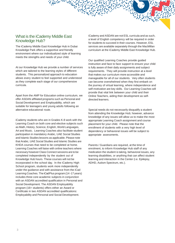## What is the iCademy Middle East Knowledge Hub?

The iCademy Middle East Knowledge Hub in Dubai Knowledge Park offers a supportive and friendly environment where our individualized style of learning meets the strengths and needs of your child.

At our Knowledge Hub we provide a number of services which are tailored to the learning styles of different students. This personalized approach to education allows every student to feel supported and understood as they complete each stage of our comprehensive curricula.

Apart from the AMP for Education online curriculum, we offer ASDAN affiliated programs such as Personal and Social Development and Employability, which are suitable for teenagers and young adults following an alternative educational route.

iCademy students who are in Grades K-8 work with the Learning Coach on both core and elective subjects such as Math, History, Science, English, World Languages, Art and Music. Learning Coaches also facilitate student participation in mandatory Arabic, UAE Social Studies and Islamic Studies lessons as applicable. Please note that Arabic, UAE Social Studies and Islamic Studies are KHDA courses that need to be completed at home. Learning Coaches will liaise with online teachers where necessary however Class Connect sessions are to be completed independently by the student out of Knowledge Hub hours. These courses will not be incorporated in the school day. In the iCademy High School program, students work more independently under the guidance and with assistance from the iCad Learning Coaches. The iCadPlus program (14 -17 years) includes three core academic subjects in conjunction with an ASDAN accredited qualification in Personal and Social Development. The ASDAN Employability program (16+ students) offers either an Award or Certificate in two ASDAN accredited qualifications: Employability and Personal and Social Development.

iCademy and ASDAN are not ESL curricula and as such, a level of English competency will be required in order for students to succeed in their courses. However, ESL services are available separately through the MacMillan curriculum at the iCademy Middle East Knowledge Hub.

Our qualified Learning Coaches provide guided instruction and face to face support to ensure your child is fully aware of their daily assignments and subject requirements. They will provide instruction at a level that makes our curriculum more accessible and manageable for all of our students. Very often students can become overwhelmed when they first embark on the journey of virtual learning, where independence and self-motivation are key skills. Our Learning Coaches will provide that vital link between your child and their Online Teachers, aiding their development as selfdirected learners.

Special needs do not necessarily disqualify a student from attending the Knowledge Hub; however, advance knowledge of any issues will allow us to make the most appropriate Learning Coach assignment and course placement for your child. Please note that the enrollment of students with a very high level of dependency or behavioral issues will be subject to appropriate assessments.

Parents / Guardians are required, at the time of enrolment, to inform Knowledge Hub staff of any medication the student is taking, behavioral issues, any learning disabilities, or anything that can affect student learning and interaction in the Center (i.e. Epilepsy, ADHD, Autism Spectrum, etc.).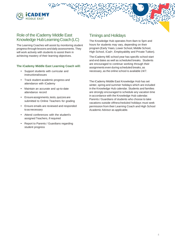

## Role of the iCademy Middle East Knowledge HubLearningCoach(LC)

The Learning Coaches will assist by monitoring student progress through lessons and daily assessments. They will work actively with students to assist them in achieving mastery of their learning objectives.

#### **The iCademy Middle East Learning Coach will:**

- Support students with curricular and instructionalissues
- Track student academic progress and attendance with iCademy
- Maintain an accurate and up-to-date attendance record
- Ensure assignments, tests, quizzes are submitted to Online Teachers for grading
- Ensure emails are reviewed and responded toasnecessary
- Attend conferences with the student's assigned Teachers, if required
- <span id="page-3-0"></span>• Report to Parents / Guardians regarding student progress

## Timings and Holidays

The Knowledge Hub operates from 8am to 5pm and hours for students may vary, depending on their program (Early Years, Lower School, Middle School, High School, iCad+, Employability and Private Tuition).

The iCademy ME school year has specific school start and end dates as well as scheduled breaks. Students are encouraged to continue working through their assignments even during scheduled breaks, as necessary, as the online school is available 24/7.

The iCademy Middle East Knowledge Hub has set winter, spring and summer holidays which are included in the Knowledge Hub calendar. Students and families are strongly encouraged to schedule any vacation time in accordance with the Knowledge Hub calendar. Parents / Guardians of students who choose to take vacations outside ofthescheduled holidays must seek permission from their Learning Coach and High School Academic Advisor as applicable.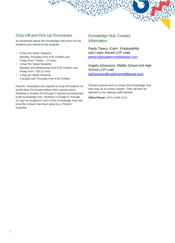## <span id="page-4-0"></span>Drop-Off and Pick-Up Procedures

As mentioned above the Knowledge Hub hours for the students vary based on the program:

- 5 Day Per Week Students Monday-Thursday from 8:30-3:00pm and Friday from 7:30am – 12 noon
- 3 Day Per Week Students: Monday and Wednesday from 8:30-3:00pm and Friday from 7:30-12 noon
- 2 Day per Week Students Tuesday and Thursday from 8:30-3:00pm

Parents / Guardians are required to drop-off students no earlier than 15 minutes before their session starts. Students in Grades KG through 5 must be accompanied to the Knowledge Hub. Students in Grades 6 through 12 may be dropped in front of the Knowledge Hub only once the consent has been given by a Parent / Guardian.

## Knowledge Hub Contact **Information**

Paula Treacy, iCad+, Employability and Lower School LCP Lead [ptreacy@icademymiddleeast.com](mailto:ptreacy@icademymiddleeast.com)

Angela Johansson, Middle School and High School LCP Lead [ajohansson@icademymiddleeast.com](mailto:ajohansson@icademymiddleeast.com)

Should a parent wish to contact the Knowledge Hub they may do so at this number. They will then be directed to the relevant staff member.

<span id="page-4-1"></span>**OfficePhone:** +971-4-440-1212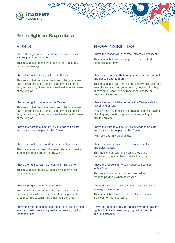

## Student Rights and Responsibilities

| <b>RIGHTS</b>                                                                                                                                                                                       | <b>RESPONSIBILITIES</b>                                                                                                                                                                                       |  |
|-----------------------------------------------------------------------------------------------------------------------------------------------------------------------------------------------------|---------------------------------------------------------------------------------------------------------------------------------------------------------------------------------------------------------------|--|
| I have the right to be comfortable and to be treated<br>with respect in this Center.                                                                                                                | I have the responsibility to treat others with respect.<br>This means that I will not laugh at, tease, or hurt<br>the feelings of others.                                                                     |  |
| This means that no one will laugh at me, tease me,<br>or hurt my feelings.                                                                                                                          |                                                                                                                                                                                                               |  |
| I have the right to be myself in this Center.                                                                                                                                                       | I have the responsibility to respect others as individuals<br>and not to treat them unfairly.                                                                                                                 |  |
| This means that no one will treat me unfairly because<br>I am a child or adult; young or old; boy or girl; fat or<br>thin; tall or short; of any race or nationality; or because<br>of my religion. | This means that I will treat no one unfairly because they<br>are children or adults; young or old; boys or girls; big<br>or thin; tall or short; of any race or nationality; or<br>because of their religion. |  |
| I have the right to be safe in this Center.                                                                                                                                                         | I have the responsibility to make the Center safe for<br>myself and others.                                                                                                                                   |  |
| This means that no one will treat me unfairly because<br>I am a child or adult; young or old; boy or girl; big or<br>thin; tall or short; of any race or nationality; or because<br>of my religion. | by not hitting anyone; kicking anyone; pushing anyone;<br>pinching anyone; hurting anyone; threatening or<br>bullying anyone.                                                                                 |  |
| I have the right to expect my belongings to be safe<br>and treated with respect in this Center.                                                                                                     | I have the right to expect my belongings to be safe<br>and treated with respect in this Center.                                                                                                               |  |
|                                                                                                                                                                                                     | I will look after my belongings.                                                                                                                                                                              |  |
| I have the right to hear and be heard in this Center.<br>That means that no one will scream, shout, and make                                                                                        | I have a responsibility to help maintain a calm<br>and quiet Center.                                                                                                                                          |  |
| loud noises or disturb me in any way.                                                                                                                                                               | This means that I will not scream, shout, and<br>make loud noises or disturb others in any way.                                                                                                               |  |
| I have the right to learn self-control in this Center.<br>This means that no one will stand by silently while<br>I abuse my rights.                                                                 | I have the responsibility to practice self-control<br>in this Center.                                                                                                                                         |  |
|                                                                                                                                                                                                     | This means I will expect to be corrected and<br>respond positively when addressed.                                                                                                                            |  |
| I have the right to learn in this Center.                                                                                                                                                           | I have the responsibility to contribute to a positive                                                                                                                                                         |  |
| This means that no one has the right to disrupt me<br>or make it difficult for me to learn. Learning Coaches<br>should be free to teach and students free to learn.                                 | learning environment.<br>This means that I will not disrupt others or make<br>it difficult for them to learn.                                                                                                 |  |
| I have the right to expect that these rights will be mine<br>in all circumstances as long as I am exercising my full<br>responsibilities.                                                           | I have the responsibility to protect my rights and the<br>rights of others by exercising my full responsibility in<br>all circumstances.                                                                      |  |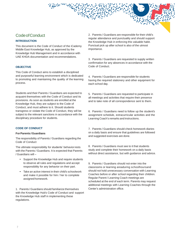## <span id="page-6-0"></span>CodeofConduct

### <span id="page-6-1"></span>**INTRODUCTION**

This document is the Code of Conduct of the iCademy Middle East Knowledge Hub, as approved by the Knowledge Hub Management and in accordance with UAE KHDA documentation and recommendations.

#### <span id="page-6-2"></span>**OBJECTIVE**

This Code of Conduct aims to establish a disciplined and purposeful learning environment which is dedicated to promoting and maintaining the quality of the learning process.

Students and their Parents / Guardians are expected to acquaint themselves with the Code of Conduct and its provisions. As soon as students are enrolled at the Knowledge Hub, they are subject to the Code of Conduct, and must adhere to it. Should students transgress or violate the Code of Conduct, they will be subject to the relevant sanctions in accordance with the disciplinary procedure for students.

#### **CODE OF CONDUCT**

#### **ForParents /Guardians**

The responsibility of Parents / Guardians regarding the Code of Conduct

The ultimate responsibility for students' behaviorrests with the Parents / Guardians. It is expected that Parents / Guardians will –

- Support the Knowledge Hub and require students to observe all rules and regulations and accept responsibility for any behavior on their part.
- Take an active interest in their child's schoolwork and make it possible for him / her to complete assigned homework.

1. Parents / Guardians should familiarize themselves with the Knowledge Hub's Code of Conduct and support the Knowledge Hub staff in implementing these regulations.

2. Parents / Guardians are responsible for their child's regular attendance and punctuality and should support the Knowledge Hub in enforcing this valuable habit. Punctual pick up after school is also of the utmost importance.

3. Parents / Guardians are requested to supply written confirmation for any absences in accordance with the Code of Conduct.

4. Parents / Guardians are responsible for students having the required stationery and other equipment for each school day.

5. Parents / Guardians are requested to participate in all meetings and activities that require their presence and to take note of all correspondence sent to them.

6. Parents / Guardians need to follow up the student's assignment schedule, extracurricular activities and the Learning Coach's remarks and instructions.

7. Parents / Guardians should check homework diaries on a daily basis and ensure that guidelines are followed and suggested exercises are done.

8. Parents / Guardians must see to it that students study and complete their homework on a daily basis without direct assistance, but with guidance and advice.

9. Parents / Guardians should not enter into the classrooms or learning areaduring schoolhoursand should not hold unnecessary conversation with Learning Coaches before or after school regarding their children. Regular Parent / Learning Coach meetings are scheduled at the end of each term. Parents may request additional meetings with Learning Coaches through the Center's administration office.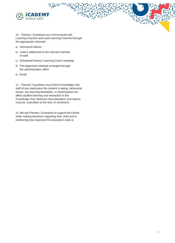

10. Parents / Guardians can communicate with Learning Coaches and Lead Learning Coaches through the appropriate channels:

- a) Homework diaries
- b) Letters addressed to the relevant member of staff
- c) Scheduled Parent / Learning Coach meetings
- d) Pre-organized meetings arranged through the administration office
- e) Email

11. Parents / Guardians must inform Knowledge Hub staff of any medication the student is taking, behavioral issues, any learning disabilities, or anythingthat can affect student learning and interaction in the Knowledge Hub. Relevant documentation and reports must be submitted at the time of enrolment.

12.We ask Parents / Guardians to support the Center while making decisions regarding their child and in reinforcing how important the educator's roles is.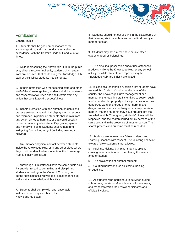## **For Students**

#### <span id="page-8-0"></span>**General Rules**

1. Students shall be good ambassadors of the Knowledge Hub, and shall conduct themselves in accordance with the Center's Code of Conduct at all times.

2. While representing the Knowledge Hub in the public eye, either directly or indirectly, students shall refrain from any behavior that could bring the Knowledge Hub, staff or their fellow students into disrepute.

3. In their interaction with the teaching staff, and other staff of the Knowledge Hub, students shall be courteous and respectful at all times and shall refrain from any action that constitutes disrespectfulness.

4. In their interaction with one another, students shall practice self-restraint and shall display mutual respect and tolerance. In particular, students shall refrain from any action aimed at harming, or that could possibly cause harm to, any other student's physical, spiritual and moral well-being. Students shall refrain from instigating / provoking a fight (including teasing / bullying).

5. Any improper physical contact between students inside the Knowledge Hub, or in any other place where they could be identified as students of the Knowledge Hub, is strictly prohibited.

6. Knowledge Hub staff shall have the same rights as a Parent with regard to controlling and disciplining students according to the Code of Conduct, both during such student's Knowledge Hub attendance as well as at any Knowledge Hub activity.

7. Students shall comply with any reasonable instruction from any member of the Knowledge Hub staff.

8. Students should not eat or drink in the classroom / at their learning stations unless authorized to do so by a member of staff.

9. Students may not ask for, share or take other students' food or belongings.

10. The smoking, possession and/or use of tobacco products while at the Knowledge Hub, at any school activity, or while students are representing the Knowledge Hub, are strictly prohibited.

11. In case of a reasonable suspicion that students have violated this Code of Conduct or the laws of the country, the Knowledge Hub's management or a member of the teaching staff is entitled to search such student and/or the property in their possession for any dangerous weapons, drugs or other harmful and dangerous substances, stolen goods or inappropriate material that the students may have brought into the Knowledge Hub. Throughout, students' dignity will be respected, and the search carried out by persons of the same sex, and in the presence of another person. The search process and outcome must be recorded.

12. Students are to treat their fellow students and Learning Coaches with respect. The following behavior towards fellow students is not allowed:

a) Pushing, kicking, bumping, tripping, spitting, causing an obstruction and threatening the safety of another student;

b) The provocation of another student;

c) Courting behavior such as kissing, holding or cuddling.

13. All students who participate in activities during school time, breaks or after school shall show loyalty and respect towards their fellow participants and officials involved.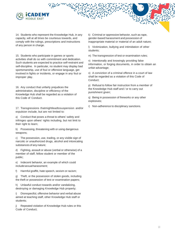

14. Students who represent the Knowledge Hub, in any capacity, will at all times be courteous towards, and comply with the rulings, prescriptions and instructions of any person in charge.

15. Students who participate in games or sports activities shall do so with commitment and dedication. Such students are expected to practice self-restraint and self-discipline. In particular, no student may display bad sportsmanship, use of foul or offensive language, get involved in fights or incidents, or engage in any foul or improper play.

16. Any conduct that unfairly prejudices the administration, discipline or efficiency of the Knowledge Hub shall be regarded as a violation of this Code of Conduct.

17. Transgressions thatmightleadtosuspension and/or expulsion include, but are not limited to:

a) Conduct that poses a threat to others' safety and infringes upon others' rights including, but not limit to their right to learn;

b) Possessing, threatening with or using dangerous weapons;

c) The possession, use, trading, or any visible sign of narcotic or unauthorized drugs, alcohol and intoxicating substances of any nature;

d) Fighting, assault or abuse (verbal or otherwise) of a member of staff, fellow student or member of the public;

e) Indecent behavior, an example of which could includesexualharassment;

f) Harmful graffiti, hate speech, sexism or racism;

g) Theft, or the possession of stolen goods, including the theft or possession of test or examination papers;

h) Unlawful conduct towards and/or vandalizing, destroying or damaging Knowledge Hub property;

i) Disrespectful, offensive behavior and verbal abuse aimed at teaching staff, other Knowledge Hub staff or students;

j) Repeated violation of Knowledge Hub rules or this Code of Conduct;

k) Criminal or oppressive behavior, such as rape, gender-based harassment and possession of inappropriate material or material of an adult nature;

l) Victimization, bullying and intimidation of other students;

m) The transgression of test or examination rules;

n) Intentionally and knowingly providing false information, or forging documents, in order to obtain an unfair advantage;

o) A conviction of a criminal offence in a court of law shall be regarded as a violation of this Code of Conduct;

p) Refusal to follow fair instruction from a member of the Knowledge Hub staff and / or to carry out punishment given;

q) Being in possession of fireworks or any other explosives;

r) Non-adherence to disciplinary sanctions.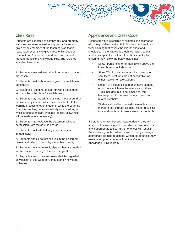## <span id="page-10-0"></span>Class Rules

Students are expected to comply fully and promptly with the class rules as well as any verbal instruction given by any member of the teaching staff that is reasonably essential to give effect to this Code of Conduct and / or for the sound and professional management of the Knowledge Hub. The rules are specified hereunder:

1. Students must arrive on time in order not to disturb the lesson;

2. Students must do homework given for each lesson punctually;

3. Textbooks / reading books / drawing equipment, etc. must be in the class for each lesson;

4. Students may not talk, shout, sing, move around or behave in any manner which is inconsistent with the learning process of other students, while the Learning Coach is teaching, while somebody else is talking or while other students are working; (special allowances will be made where necessary)

5. Students may not leave the classroom without permission from the adult in charge;

6. Students must with follow given instructions immediately;

7. Students should not eat or drink in the classroom unless authorized to do so by a member of staff;

8. Students must return reply slips as they are needed for the smooth running of the Knowledge Hub;

<span id="page-10-1"></span>9. Any violations of the class rules shall be regarded as violation of this Code of Conduct and Knowledge Hub rules.

## Appearance and Dress Code

Respectful attire is required at all times, in accordance with the guidelines in the UAE. Students and staff must wear clothing that covers the midriff, chest and shoulders. At the Knowledge Hub we insist that our students respect the culture of our host country by ensuring they follow the below guidelines:

- Skirts / pants no shorter than 10 cm above the knee (this also includes shorts);
- Shirts / T-shirts with sleeves which cover the shoulders. Vest tops are not acceptable for either male or female students;
- No part of a student's attire may have slogans or pictures which may be offensive to others – this includes, but is not limited to, foul language, explicit scenes or words and drugrelated symbols;
- Students should be dressed in a neat fashion, therefore see through clothing, midriff revealing tops and low hung trousers are not acceptable.

If a student arrives dressed inappropriately, they will receive a first warning and if possible, remove or cover any inappropriate attire. Further offences will result in Parents being contacted and asked to bring a change of appropriate clothing to school. Continued offences may result in temporary removal from the iCademy Knowledge Hub Program.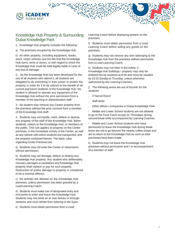

## <span id="page-11-0"></span>Knowledge Hub Property & Surrounding Dubai Knowledge Park

1. Knowledge Hub property includes the following:

a) The premises occupied by the Knowledge Hub.

b) All other property, including equipment, books, stock, motor vehicles and the like that the Knowledge Hub owns, rents or stores, or with regard to which the Knowledge Hub could be held legally liable in case of any loss or damage.

2. As the Knowledge Hub has been developed for the use of all students who attend it, all students are obligated to do everything in their power to protect the property in order for it to be utilized to the benefit of all current and future students of the Knowledge Hub. No student is allowed to operate any equipment of the Knowledge Hub without the prior permission from a member of the teaching or administration staff.

3. No student may remove any Center property from the premises without the prior consent from a member of the Knowledge Hub staff.

4. Students may not handle, mark, deface or destroy any property of the staff of the Knowledge Hub, fellow students, visitors to the Knowledge Hub, or members of the public. This rule applies to property on the Center premises, in the immediate vicinity of the Center, as well as any vehicle with which students are transported, and the property contained therein. The basic rules regarding Center Premises are:

a) Students may not enter the Center or classrooms without permission;

b) Students may not damage, deface or destroy any Knowledge Hub property. Any student who deliberately misuses, damages or vandalizes any Knowledge Hub property shall replace or pay for such property. Destruction of and/or damage to property is considered to be a criminal offence;

c) No animals are allowed on the Knowledge Hub premises, unless permission has been granted by a Lead Learning Coach;

d) Students must make use of designated entry and exit points to enter and leave the Knowledge Hub. Students may not climb on or over fences or through windows and must refrain from loitering in the foyer;

e) Students must obtain permission from a Lead

Learning Coach before displaying posters on the premises;

f) Students must obtain permission from a Lead Learning Coach before selling any goods on the premises;

g) Students may not remove any item belonging to the Knowledge Hub from the premises without permission from a Lead Learning Coach;

h) Students may not loiter in the toilets; i) Knowledge Hub buildings / property may only be entered into by students at 8:00 and must be vacated by 15:15 Sunday to Thursday, unless otherwise authorized by the Learning Coaches;

j) The following areas are out of bounds for the students:

- IT Server Room
- Staff areas
- Other offices / companies in Dubai Knowledge Park

Middle and Lower School students are not allowed to go to the Food Court except on Thursdays during second break while accompanied by Learning Coaches

Middle and Lower School students who have permission to leave the Knowledge Hub during break times are not to go beyond the nearby coffee shops and are to return to the Knowledge Hub as soon as their purchases have been made.

k) Students may not leave the Knowledge Hub premises without permission and / or accompaniment of a member of staff.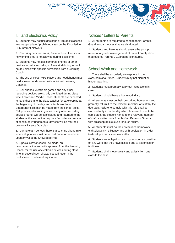## <span id="page-12-0"></span>**I.T. and Electronics Policy**

1. Students may not use desktops or laptops to access any inappropriate / prohibited sites on the Knowledge Hub-Internet-Network.

2. Checking personal email, Facebook or other social networking sites is not allowed during class time.

3. Students may not use cameras, phones or other devices to make recordings of any kind during school hours unless with specific permission from a Learning Coach.

4. The use of iPods, MP3 players and headphones must be discussed and cleared with individual Learning Coaches.

5. Cell phones, electronic games and any other recording devices are strictly prohibited during class time. Lower and Middle School students are expected to hand these in to the class teacher for safekeeping at the beginning of the day and after break times. Emergency calls may be made from the school office. Cell phones, electronic games or any other recording devices found, will be confiscated and returned to the student at the end of the day on a first offence. In case of continued infringements, devices will be returned only to a Parent / Guardian.

6. During exam periods there is a strict no phone rule, where all phones must be kept at home or handed in upon arrival at the Knowledge Hub.

<span id="page-12-1"></span>7. Special allowances will be made, on recommendation and with approval from the Learning Coach, for the use of electronic devices during class time. Misuse of such allowances will result in the confiscation of relevant equipment.

## Notices/ Lettersto Parents

1. All students are required to hand to their Parents / Guardians, all notices that are distributed.

2. Students and Parents should ensurethe prompt return of any acknowledgement of receipt / reply slips that requires Parents' / Guardians' signatures.

## <span id="page-12-2"></span>School Work and Homework

1. There shall be an orderly atmosphere in the classroom at all times. Students may not disrupt or hinder teaching.

2. Students must promptly carry out instructions in class.

3. Students should have a homework diary.

4. All students must do their prescribed homework and promptly return it to the relevant member of staff by the due date. Failure to comply with this rule shall be excused only if, on the day which homework was to be completed, the student hands to the relevant member of staff, a written note from his/her Parents / Guardian with an acceptable excuse for such failure.

5. All students must do their prescribed homework enthusiastically, diligently and with dedication in order to develop a consistent work ethic.

6. Students are obliged to catch up as soon as possible on any work that they have missed due to absences or tardiness.

7. Students shall move swiftly and quietly from one class to the next.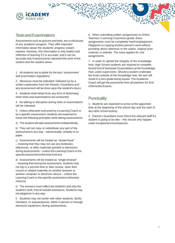

## <span id="page-13-0"></span>TestsandExaminations

Assessments such as quizzes and tests, are a critical part of any academic program. They offer important information about the students' progress toward mastery. However, this information is only helpful and reflective of learning if it is accurate; and it can be accurate only if assessments represent the work of the student and the student alone.

1. All students are to abide by the test / assessment and examination regulations.

2. Absences must be indicated / followed up by a written explanation from the Parents / Guardians and any assessment will be done upon the student's return.

3. Students shall refrain from any form of dishonesty when tests and examinations are conducted.

4. No talking or disruption during tests or examinations will be tolerated.

5. Unless otherwise instructed by a Learning Coach or by a specific assessment, students are expected to honor the following principles while taking assessments:

a) The student will take assessments independently.

b) They will not copy or redistribute any part of the assessment in any way – electronically, verbally or on paper.

c) Assessments will be treated as "closed book" – meaning that they may not use any textbooks, references, or other materials (printed or electronic) during assessments – unless the Learning Coach or the specificassessmentotherwiseinstructs.

d) Assessments will be treated as "single browser" – meaning that during the assessment, students may not log in a second time to their course, open their course or related materials on another browser or another computer or electronic device – unless the Learning Coach or the specific assessment otherwise instructs.

e) The answers must reflect the student's and only the student's work, free of outside assistance. Students may not plagiarize in any way.

f) Students may not confer with other students, family members, or acquaintances, either in person or through electronic equipment, during assessments.

6. When submitting written assignments to Online Teachers / Learning Coaches to grade, these assignments must be completely freefromplagiarism. Plagiarism is copying another person's work without providing direct reference to the author, original print material, or website. The same applies for oral assignments.

7. In order to uphold the integrity of the Knowledge Hub, High School students are required to complete formal End of Semester Examinations at the Knowledge Hub, under supervision. Should a student undertake the exam outside of the Knowledge Hub, the test will result in a zero grade being issued. The Academic Coach will get the passwords from all teachers for End ofSemesterExams.

## <span id="page-13-1"></span>**Punctuality**

1. Students are expected to arrive at the appointed time at the beginning of the school day and the start of any other school activity.

2. Parents / Guardians must inform the relevant staff if a student is going to be late – this should only happen under exceptional circumstances.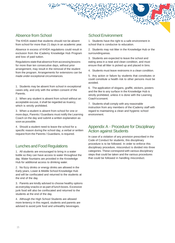## <span id="page-14-0"></span>Absence from School

The KHDA stated that students should not be absent from school for more than 21 days in an academic year.

Absence in excess of KHDA regulations could result in exclusion from the iCademy Knowledge Hub Program and loss of paid tuition.

Regulations state that absence from accessing lessons for more than ten consecutive days, without prior arrangement, may result in the removal of the student from the program. Arrangements for extensions can be made under exceptional circumstances.

1. Students may be absent from school in exceptional cases only, and only with the written consent of the Parents.

2. When any student is absent from school without an acceptable excuse, it shall be regarded as truancy, which is strictly prohibited.

3. When a student is absent from school for one or more days, Parents / Guardians must notify the Learning Coach on the day and submit a written explanation as soon as possible.

4. Should a student need to leave the school for a specific reason during the school day, a verbal or written request from the Parents / Guardians, is required.

## <span id="page-14-1"></span>Lunches and Food Regulations

1. All students are encouraged to bring in a water bottle so they can have access to water throughout the day. Water fountains are provided in the Knowledge Hub for additional access to drinking water.

2. No fizzy drinks or energy drinks are allowed in the Early years, Lower & Middle School Knowledge Hub and will be confiscated and returned to the students at the end of the day.

3. Parents are kindly advised to choose healthy options as everyday snacks or as part of lunch boxes. Excessive junk food will also be confiscated and returned to the students at the end of the day.

4. Although the High School Students are allowed more leniency in this regard, students and parents are advised to avoid junk food and unhealthy beverages.

## School Environment

1. Students have the right to a safe environment in school that is conducive to education.

2. Students may not litter in the Knowledge Hub or the surroundingareas.

3. Students are expected to leave the school and eating area in a neat and clean condition, and must ensure that all litter is picked up and placed in bins.

4. Students must leave restrooms in a clean condition.

5. Any action or failure by students that constitutes or could constitute a health risk to other persons must be avoided.

6. The application of slogans, graffiti, stickers, posters and the like to any surface in the Knowledge Hub is strictly prohibited, unless it is done with the Learning Coach'sconsent.

7. Students shall comply with any reasonable instruction from any members of the iCademy staff with regard to maintaining a clean and hygienic school environment.

## Appendix A - Procedure for Disciplinary Action against Students

In case of a violation of any provision prescribed in the Code of Conduct for students, this disciplinary procedure is to be followed. In order to enforce this disciplinary procedure, misconduct is divided into three categories. These correspond with various disciplinary steps that could be taken and the various procedures that could be followed in handling misconduct.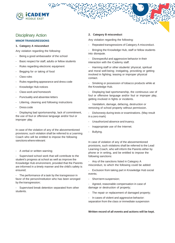## <span id="page-15-0"></span>Disciplinary Action

#### **MINOR TRANSGRESSIONS**

#### **1. Category A misconduct**

Any violation regarding the following:

CADEM

- Being a good ambassador of the school
- Basic respect for staff, adults or fellow students
- Rules regarding electronic equipment
- Begging for or taking of food
- Class rules
- Rules regarding appearance and dress code
- Knowledge Hub notices
- Class work and homework
- Punctuality and absentee letters
- Littering, cleaning and following instructions
- Dress code

Displaying bad sportsmanship, lack of commitment, the use of foul or offensive language and/or foul or improper play.

In case of the violation of any of the abovementioned provisions; such violation shall be referred to a Learning Coach who will be entitled to impose the following sanctions where relevant:

A verbal or written warning;

- Supervised school work that will contribute to the student's progress at school as well as improve the Knowledge Hub environment, provided that the Parents are informed in a timely manner and the child's safety is ensured;

- The performance of a task by the transgressor in favor of the person/institution who has been wronged by the transgression;

Supervised break detention separated from other students.

#### **2. Category B misconduct**

Any violation regarding the following:

- Repeated transgressions of Category A misconduct.
- Bringing the Knowledge Hub, staff or fellow students into disrepute.
- Disrespectful and aggressive behavior in their interaction with the iCademy staff.

Harming staff or other students' physical, spiritual and moral well-being; instigating, provoking or getting involved in fighting; teasing or improper physical contact.

- Smoking or possession of tobacco products while at the Knowledge Hub.

Displaying bad sportsmanship, the continuous use of foul or offensive language and/or foul or improper play, getting involved in fights or incidents.

- Vandalism, damage, defacing, destruction or removing of school property without permission.

Dishonesty during tests or examinations. (May result in a zero mark)

- Unauthorized absence and truancy.
- Inappropriate use of the Internet.
- Bullying.

In case of violation of any of the abovementioned provisions, such violations shall be referred to the Lead Learning Coach, who will inform the Parents either by phone or in writing, and be entitled to impose the following sanctions:

Any of the sanctions listed in Category A misconduct, to which the following could be added:

Exclusion from taking part in Knowledge Hub social events;

Short term suspension;

Agreed, reasonable compensation in case of damage or destruction of property;

- The repair or replacement of damaged property;
- In cases of violent and aggressive behavior: separation from the class or immediate suspension

#### **Written record of all events and actions will be kept.**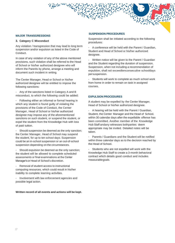#### **MAJOR TRANSGRESSIONS**

#### **3. Category C Misconduct**

Any violation / transgression that may lead to long term suspension and/or expulsion as listed in the Code of Conduct.

In case of any violation of any of the above mentioned provisions, such violation shall be referred to the Head of School or his/her authorized designee who will inform the Parents by phone, arrange a meeting and document such incident in writing.

The Center Manager, Head or School or his/her authorized designee will be entitled to impose the following sanctions:

Any of the sanctions listed in Category A and B misconduct, to which the following could be added:

- Following either an informal or formal hearing in which any student is found guilty of violating the provisions of the Code of Conduct, the Center Manager, Head of School or his/her authorized designee may impose any of the aforementioned sanctions on such student, or suspend the student, or expel the student from the Knowledge Hub with loss of paid tuition.

Should suspension be deemed as the only sanction; the Center Manager, Head of School may suspend the student, for up to ten school days. Suspension could be an in-school suspension or an out-of-school suspension depending on the circumstances.

Should expulsion be deemed as the only sanction; the student will be allowed to complete scheduled assessments or final examinations at the Center Manager's or Head of School's discretion.

- Removal of student access to instructional computing resources, which could result in his/her inability to complete learning activities.

- Involvement with law enforcement agencies and possible legal action.

#### **Written record of all events and actions will be kept.**

#### **SUSPENSION PROCEDURES**

Suspension shall be initiated according to the following procedures:

A conference will be held with the Parent / Guardian, Student and Head of School or his/her authorized designee.

Written notice will be given to the Parent / Guardian and the Student regarding the duration of suspension. Suspension, when not including a recommendation of expulsion, shall not exceedtenconsecutive schooldays persuspension.

Students will work to complete as much school work from home in order to remain on task in assigned courses.

#### **EXPULSION PROCEDURES**

A student may be expelled by the Center Manager, Head of School or his/her authorized designee.

- A hearing will be held with the Parent / Guardian, Student, the Center Manager and the Head of School, within 30 calendar days after the expellable offense has been committed. Another member of the Knowledge Hub Staff andany witnesses bothparties deem appropriate may be invited. Detailed notes will be taken.

Parents / Guardians and the Student will be notified within three calendar days as to the decision reached by the Head of School.

Students who are not expelled will work with the Knowledge Hub Staff to create a 3-month behavioral contract which details good conduct and includes measurablegoals.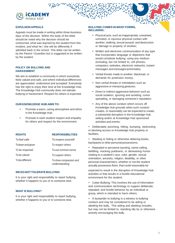

#### **EXPULSION APPEALS**

Appeals must be made in writing within three business days of the decision. Within the body of the letter should be noted why the decision should be overturned, what was learned by the student from this incident, and what he / she will do differently if admitted back in the school. This letter can be written by the Parent / Guardian but is suggested to be written by the student.

#### **POLICY ON BULLYING AND HARASSMENT**

We aim to establish a community in which everybody feels valued and safe, and where individual differences are appreciated, understood and accepted. Everybody has the right to enjoy their time at the Knowledge Hub. The Knowledge Hub community does not tolerate bullying or harassment. Respect for others is expected.

#### **OUR KNOWLEDGE HUB AIMSTO:**

- Promote a warm, caring atmosphere and ethos in the Knowledge Hub.
- Promote in each student respect and empathy for others and respect for the environment.

| <b>RIGHTS</b>     | <b>RESPONSIBILITIES</b>                 |
|-------------------|-----------------------------------------|
| To feel safe      | To respect yourself                     |
| To learn and grow | To respect others                       |
| To be respected   | To use common sense                     |
| To be valued      | To support others                       |
| To be different   | To show compassion and<br>understanding |

#### **WEDO NOT TOLERATEBULLYING**

It is your right and responsibility to report bullying, whether it happens to you or to someone else.

#### **WHAT IS BULLYING?**

It is your right and responsibility to report bullying, whether it happens to you or to someone else.

#### **BULLYING COMES IN MANY FORMS, INCLUDING:**

- Physical acts, such as inappropriate, unwanted, uninvited, or injurious physical contact with another; stalking; sexual assault; and destruction or damage to property of another;
- Written and electronic communication of any type that incorporates language or depictions that would constitute bullying, using any medium (including, but not limited to, cell phones, computers, websites, electronic networks, instant messages, text messages and emails);
- Verbal threats made to another, blackmail, or demands for protection money;
- Non-verbal threats or intimidation such as aggressive or menacing gestures;
- Direct or indirect aggressive behavior such as social isolation, ignoring and avoiding, rumor spreading, or damaging someone's reputation;
- Any of the above conduct which occurs off Knowledge Hub grounds when such conduct creates, or reasonably can be expected to create, a substantial disruption in the Knowledge Hub setting and/or at Knowledge Hub sponsored activities and events;

• Deliberately punching, hitting, bumping, obstructing or blocking access to Knowledge Hub property or facilities;

Stealing or hiding or otherwise defacing books, backpacks or other personal possessions;

• Repeated or pervasive taunting, name-calling, belittling, mocking putdowns, or demeaning humor relating to a student's race, color, gender, sexual orientation, ancestry, religion, disability, or other personal characteristics, whether or not the student actually possesses them, that could reasonably be

expected to result in the disruption of Knowledge Hub activities or that results in a hostile educational environment for the student;

• Cyber-Bullying: This involves the use of information and communication technology to support deliberate, repeated, and hostile behavior by an individual or group, which is intended to harm others;

• A bystander to bullying is a witness to bullying conduct and may be considered to be aiding or abetting the bully. This aiding and abetting includes, but may not be limited to, standing idly by or otherwise actively encouraging the bully.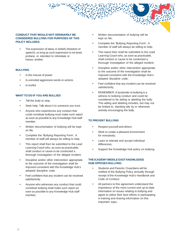#### **CONDUCT THAT WOULD NOT ORDINARILY BE CONSIDERED BULLYING FOR PURPOSES OF THIS POLICY INCLUDES:**

The expression of ideas or beliefs (freedom of speech), so long as such expression is not lewd, profane, or intended to intimidate or harass another.

#### **BULLYING**

- Is the misuse of power
- Is uninvited aggressive words or actions
- Is hurtful

### **WHAT TO DO IF YOU ARE BULLIED**

- Tell the bully to stop.
- Seek help. Talk about it to someone you trust.
- Anyone who experiences any conduct that could constitute bullying must make such report as soon as possible to any Knowledge Hub staff member.
- Written documentation of bullying will be kept on file.
- Complete the 'Bullying Reporting Form'. A member of staff will always be willing to help.
- This report shall then be submitted to the Lead Learning Coach who, as soon as practicable, shall conduct or cause to be conducted a thorough investigation of the alleged incident.
- Discipline and/or other intervention appropriate to the outcome of the investigation shall be imposed consistent with the Knowledge Hub's adopted discipline code.
- Feel confident that any incident can be resolved satisfactorily.
- Anyone who witnesses any conduct that could constitute bullying shall make such report as soon as possible to any Knowledge Hub staff member;
- Written documentation of bullying will be kept on file;
- Complete the 'Bullying Reporting Form'. A member of staff will always be willing to help;
- This report then shall be submitted to the Lead Learning Coach who, as soon as practicable, shall conduct or cause to be conducted a thorough investigation of the alleged incident;
- Discipline and/or other intervention appropriate to the outcome of the investigation shall be imposed consistent with the Knowledge Hub's adopted discipline code;
- Feel confident that any incident can be resolved satisfactorily;
- REMEMBER: A bystander to bullying is a witness to bullying conduct and could be considered to be aiding or abetting the bully. This aiding and abetting includes, but may not be limited to, standing idly by or otherwise actively encouraging the bully.

#### **TO PREVENT BULLYING**

- Respect yourself and others;
- Work to create a pleasant environment for everybody;
- Learn to tolerate and accept individual differences;
- Support the Knowledge Hub policy on bullying.

#### **THEICADEMY MIDDLE EAST KNOWLEDGE HUB OPPOSES BULLYING:**

- Students and Parents / Guardians will be notified of the Bullying Policy annually through receipt of the Knowledge Hub's Handbook and Code of Conduct;
- All partners to this agreement understand the importance of the most current and up-to-date information on issues relating to bullying and agree to utilize their best efforts in participating in training and sharing information on this important topic;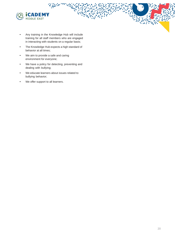

- Any training in the Knowledge Hub will include training for all staff members who are engaged in interacting with students on a regular basis;
- The Knowledge Hub expects a high standard of behavior at all times;
- We aim to provide a safe and caring environment for everyone;
- We have a policy for detecting, preventing and dealing with bullying;
- We educate learners about issues related to bullying behavior;
- We offer support to all learners.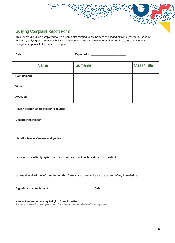## Bullying Complaint Report Form

This report MUST be completed to file a complaint relating to an incident of alleged bullying (for the purpose of this form, bullying encompasses bullying, harassment, and discrimination) and turned in to the Lead Coach/ designee responsible for student discipline.

**Date**:\_\_\_\_\_\_\_\_\_\_\_\_\_\_\_\_\_\_\_\_\_\_\_\_ **Reported to:\_\_\_\_\_\_\_\_\_\_\_\_\_\_\_\_\_\_\_\_\_\_\_** Name Surname Surname Class/ Title **Complainant Victim Accused**

**Place /location where incident occurred:**

**Describetheincident:**

**List all witnesses' names and grades:**

**List evidence of bullying (i.e. Letters, photos, etc. – Attach evidence if possible):**

I agree that all of the information on this form is accurate and true to the best of my knowledge.

**Signature of complainant Date:**

**Name of person receiving Bullying Complaint Form** *Besuretoattach any supporting documentation/evidence/investigation.*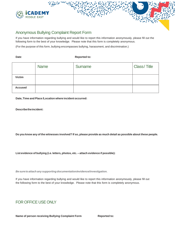

## Anonymous Bullying Complaint Report Form

If you have information regarding bullying and would like to report this information anonymously, please fill out the following form to the best of your knowledge. Please note that this form is completely anonymous.

(For the purpose of this form, bullying encompasses bullying, harassment, and discrimination.)

#### **Date: Reported to: Reported to:**

|                | <b>Name</b> | Surname | <b>Class/Title</b> |
|----------------|-------------|---------|--------------------|
| <b>Victim</b>  |             |         |                    |
| <b>Accused</b> |             |         |                    |

**Date, Time and Place /Location where incident occurred:**

#### **Describetheincident:**

Do you know any of the witnesses involved? If so, please provide as much detail as possible about these people.

**List evidence of bullying (i.e. letters, photos, etc. – attach evidence if possible):**

*Besuretoattach any supporting documentation/evidence/investigation.*

If you have information regarding bullying and would like to report this information anonymously, please fill out the following form to the best of your knowledge. Please note that this form is completely anonymous.

## FOR OFFICE USE ONLY

**Name of person receiving Bullying Complaint Form Reported to:**